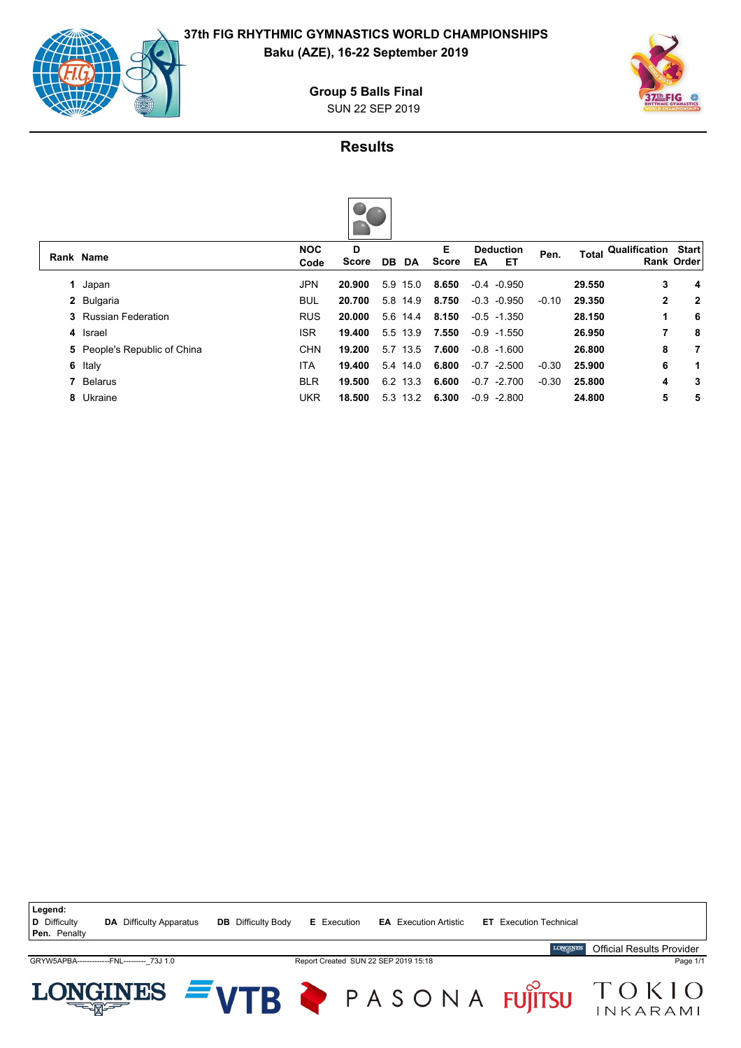

**Baku (AZE), 16-22 September 2019**

SUN 22 SEP 2019 **Group 5 Balls Final**



## **Results**

|    | Rank Name                    | <b>NOC</b><br>Code | D<br>Score | DB DA       | Е<br>Score | <b>Deduction</b><br>ET<br>EA | Pen.    | Total  | Qualification | <b>Start</b><br><b>Rank Order</b> |
|----|------------------------------|--------------------|------------|-------------|------------|------------------------------|---------|--------|---------------|-----------------------------------|
|    | Japan                        | JPN                | 20.900     | 5.9 15.0    | 8.650      | $-0.4 - 0.950$               |         | 29.550 | 3             | 4                                 |
|    | 2 Bulgaria                   | <b>BUL</b>         | 20.700     | 5.8 14.9    | 8.750      | $-0.3 - 0.950$               | $-0.10$ | 29.350 | 2             | $\mathbf{2}$                      |
|    | <b>3</b> Russian Federation  | <b>RUS</b>         | 20.000     | 5.6 14.4    | 8.150      | $-0.5 -1.350$                |         | 28.150 | 1             | 6                                 |
|    | 4 Israel                     | <b>ISR</b>         | 19.400     | 5.5 13.9    | 7.550      | $-0.9 - 1.550$               |         | 26.950 |               | 8                                 |
|    | 5 People's Republic of China | <b>CHN</b>         | 19.200     | 5.7 13.5    | 7.600      | $-0.8 - 1.600$               |         | 26.800 | 8             | 7                                 |
| 6. | Italy                        | <b>ITA</b>         | 19.400     | 5.4 14.0    | 6.800      | $-0.7$<br>$-2.500$           | $-0.30$ | 25.900 | 6             | 1                                 |
|    | 7 Belarus                    | <b>BLR</b>         | 19.500     | 6.2 13.3    | 6.600      | $-0.7$<br>$-2.700$           | $-0.30$ | 25.800 | 4             | 3                                 |
|    | 8 Ukraine                    | <b>UKR</b>         | 18.500     | 13.2<br>5.3 | 6.300      | $-0.9$<br>$-2.800$           |         | 24.800 | 5             | 5                                 |
|    |                              |                    |            |             |            |                              |         |        |               |                                   |